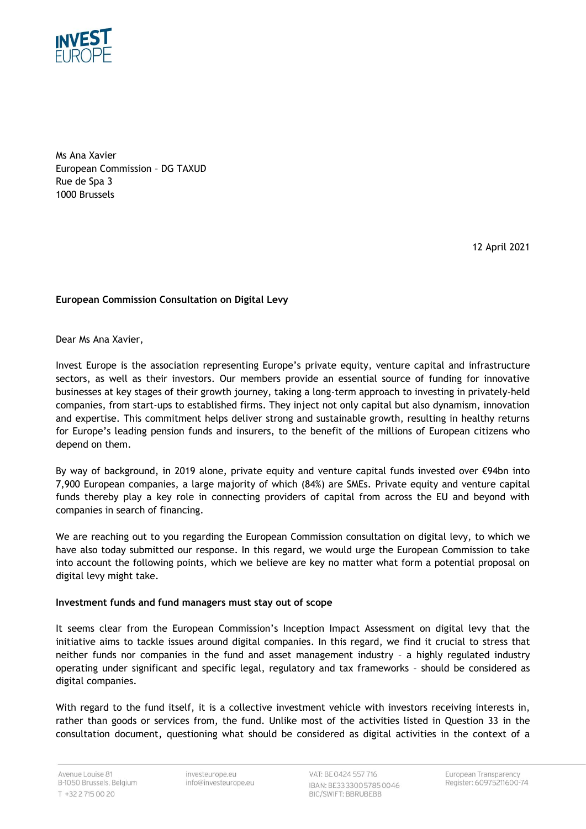

Ms Ana Xavier European Commission – DG TAXUD Rue de Spa 3 1000 Brussels

12 April 2021

## **European Commission Consultation on Digital Levy**

Dear Ms Ana Xavier,

Invest Europe is the association representing Europe's private equity, venture capital and infrastructure sectors, as well as their investors. Our members provide an essential source of funding for innovative businesses at key stages of their growth journey, taking a long-term approach to investing in privately-held companies, from start-ups to established firms. They inject not only capital but also dynamism, innovation and expertise. This commitment helps deliver strong and sustainable growth, resulting in healthy returns for Europe's leading pension funds and insurers, to the benefit of the millions of European citizens who depend on them.

By way of background, in 2019 alone, private equity and venture capital funds invested over €94bn into 7,900 European companies, a large majority of which (84%) are SMEs. Private equity and venture capital funds thereby play a key role in connecting providers of capital from across the EU and beyond with companies in search of financing.

We are reaching out to you regarding the European Commission consultation on digital levy, to which we have also today submitted our response. In this regard, we would urge the European Commission to take into account the following points, which we believe are key no matter what form a potential proposal on digital levy might take.

## **Investment funds and fund managers must stay out of scope**

It seems clear from the European Commission's Inception Impact Assessment on digital levy that the initiative aims to tackle issues around digital companies. In this regard, we find it crucial to stress that neither funds nor companies in the fund and asset management industry – a highly regulated industry operating under significant and specific legal, regulatory and tax frameworks – should be considered as digital companies.

With regard to the fund itself, it is a collective investment vehicle with investors receiving interests in, rather than goods or services from, the fund. Unlike most of the activities listed in Question 33 in the consultation document, questioning what should be considered as digital activities in the context of a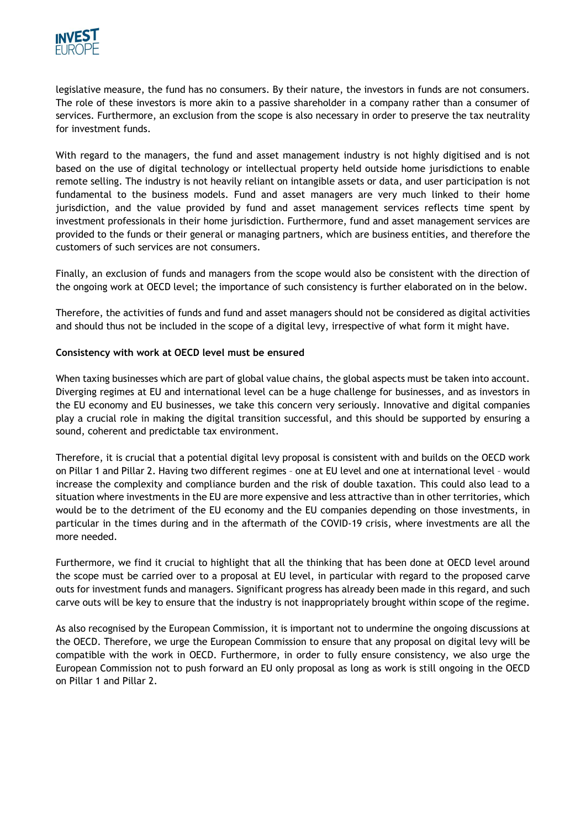

legislative measure, the fund has no consumers. By their nature, the investors in funds are not consumers. The role of these investors is more akin to a passive shareholder in a company rather than a consumer of services. Furthermore, an exclusion from the scope is also necessary in order to preserve the tax neutrality for investment funds.

With regard to the managers, the fund and asset management industry is not highly digitised and is not based on the use of digital technology or intellectual property held outside home jurisdictions to enable remote selling. The industry is not heavily reliant on intangible assets or data, and user participation is not fundamental to the business models. Fund and asset managers are very much linked to their home jurisdiction, and the value provided by fund and asset management services reflects time spent by investment professionals in their home jurisdiction. Furthermore, fund and asset management services are provided to the funds or their general or managing partners, which are business entities, and therefore the customers of such services are not consumers.

Finally, an exclusion of funds and managers from the scope would also be consistent with the direction of the ongoing work at OECD level; the importance of such consistency is further elaborated on in the below.

Therefore, the activities of funds and fund and asset managers should not be considered as digital activities and should thus not be included in the scope of a digital levy, irrespective of what form it might have.

## **Consistency with work at OECD level must be ensured**

When taxing businesses which are part of global value chains, the global aspects must be taken into account. Diverging regimes at EU and international level can be a huge challenge for businesses, and as investors in the EU economy and EU businesses, we take this concern very seriously. Innovative and digital companies play a crucial role in making the digital transition successful, and this should be supported by ensuring a sound, coherent and predictable tax environment.

Therefore, it is crucial that a potential digital levy proposal is consistent with and builds on the OECD work on Pillar 1 and Pillar 2. Having two different regimes – one at EU level and one at international level – would increase the complexity and compliance burden and the risk of double taxation. This could also lead to a situation where investments in the EU are more expensive and less attractive than in other territories, which would be to the detriment of the EU economy and the EU companies depending on those investments, in particular in the times during and in the aftermath of the COVID-19 crisis, where investments are all the more needed.

Furthermore, we find it crucial to highlight that all the thinking that has been done at OECD level around the scope must be carried over to a proposal at EU level, in particular with regard to the proposed carve outs for investment funds and managers. Significant progress has already been made in this regard, and such carve outs will be key to ensure that the industry is not inappropriately brought within scope of the regime.

As also recognised by the European Commission, it is important not to undermine the ongoing discussions at the OECD. Therefore, we urge the European Commission to ensure that any proposal on digital levy will be compatible with the work in OECD. Furthermore, in order to fully ensure consistency, we also urge the European Commission not to push forward an EU only proposal as long as work is still ongoing in the OECD on Pillar 1 and Pillar 2.